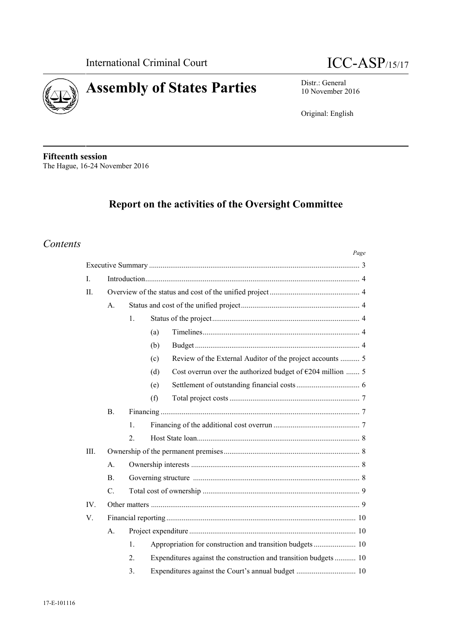



10 November 2016

Original: English

**Fifteenth session** The Hague, 16-24 November 2016

# **Report on the activities of the Oversight Committee**

# *Contents*

|          |                |                  | Page                                                                |  |  |  |  |  |  |
|----------|----------------|------------------|---------------------------------------------------------------------|--|--|--|--|--|--|
|          |                |                  |                                                                     |  |  |  |  |  |  |
| I.       |                |                  |                                                                     |  |  |  |  |  |  |
| Π.       |                |                  |                                                                     |  |  |  |  |  |  |
|          | A.             |                  |                                                                     |  |  |  |  |  |  |
|          |                | 1.               |                                                                     |  |  |  |  |  |  |
|          |                |                  | (a)                                                                 |  |  |  |  |  |  |
|          |                |                  | (b)                                                                 |  |  |  |  |  |  |
|          |                |                  | (c)                                                                 |  |  |  |  |  |  |
|          |                |                  | Cost overrun over the authorized budget of $E204$ million  5<br>(d) |  |  |  |  |  |  |
|          |                |                  | (e)                                                                 |  |  |  |  |  |  |
|          |                |                  | (f)                                                                 |  |  |  |  |  |  |
|          | $\mathbf{B}$ . |                  |                                                                     |  |  |  |  |  |  |
|          |                | $\mathbf{1}$ .   |                                                                     |  |  |  |  |  |  |
|          |                | $\overline{2}$ . |                                                                     |  |  |  |  |  |  |
| III.     |                |                  |                                                                     |  |  |  |  |  |  |
|          | $\mathbf{A}$ . |                  |                                                                     |  |  |  |  |  |  |
|          | $\mathbf{B}$   |                  |                                                                     |  |  |  |  |  |  |
|          | $C_{\cdot}$    |                  |                                                                     |  |  |  |  |  |  |
| $IV_{1}$ |                |                  |                                                                     |  |  |  |  |  |  |
| V.       |                |                  |                                                                     |  |  |  |  |  |  |
|          | A.             |                  |                                                                     |  |  |  |  |  |  |
|          |                | 1.               |                                                                     |  |  |  |  |  |  |
|          |                | $\overline{2}$ . | Expenditures against the construction and transition budgets 10     |  |  |  |  |  |  |
|          |                | 3.               |                                                                     |  |  |  |  |  |  |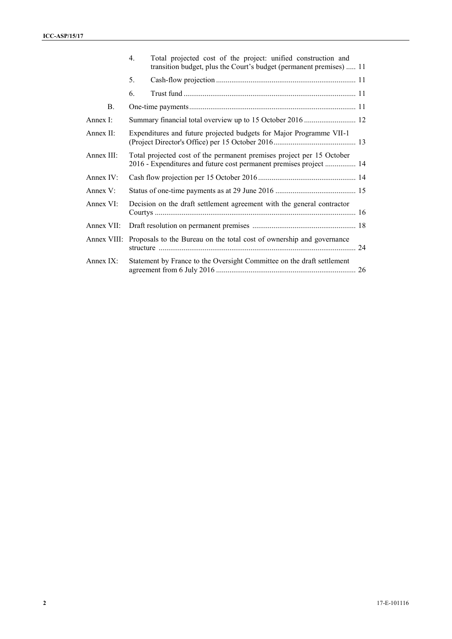|              | $4_{\cdot}$ | Total projected cost of the project: unified construction and<br>transition budget, plus the Court's budget (permanent premises)  11        |  |  |  |  |  |  |
|--------------|-------------|---------------------------------------------------------------------------------------------------------------------------------------------|--|--|--|--|--|--|
|              | 5.          |                                                                                                                                             |  |  |  |  |  |  |
|              | 6.          |                                                                                                                                             |  |  |  |  |  |  |
| <b>B.</b>    |             |                                                                                                                                             |  |  |  |  |  |  |
| Annex I:     |             |                                                                                                                                             |  |  |  |  |  |  |
| Annex II:    |             | Expenditures and future projected budgets for Major Programme VII-1                                                                         |  |  |  |  |  |  |
| Annex III:   |             | Total projected cost of the permanent premises project per 15 October<br>2016 - Expenditures and future cost permanent premises project  14 |  |  |  |  |  |  |
| Annex IV:    |             |                                                                                                                                             |  |  |  |  |  |  |
| Annex $V$ :  |             |                                                                                                                                             |  |  |  |  |  |  |
| Annex $VI$ : |             | Decision on the draft settlement agreement with the general contractor                                                                      |  |  |  |  |  |  |
| Annex VII:   |             |                                                                                                                                             |  |  |  |  |  |  |
| Annex VIII:  |             | Proposals to the Bureau on the total cost of ownership and governance                                                                       |  |  |  |  |  |  |
| Annex $IX:$  |             | Statement by France to the Oversight Committee on the draft settlement                                                                      |  |  |  |  |  |  |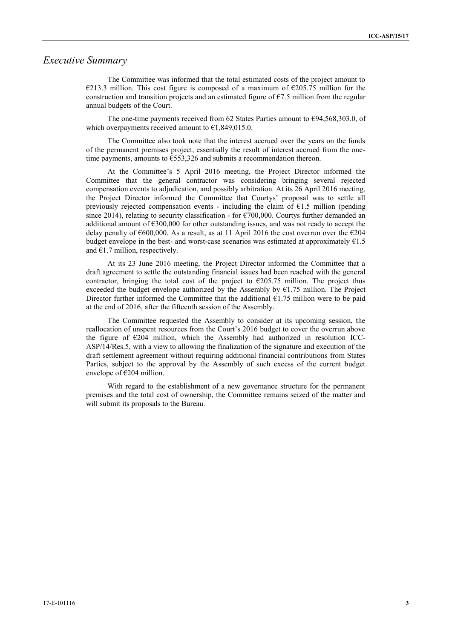## *Executive Summary*

The Committee was informed that the total estimated costs of the project amount to €213.3 million. This cost figure is composed of a maximum of  $€205.75$  million for the construction and transition projects and an estimated figure of  $\epsilon$ 7.5 million from the regular annual budgets of the Court.

The one-time payments received from 62 States Parties amount to  $\epsilon$ 94,568,303.0, of which overpayments received amount to  $\epsilon$ 1,849,015.0.

The Committee also took note that the interest accrued over the years on the funds of the permanent premises project, essentially the result of interest accrued from the onetime payments, amounts to €553,326 and submits a recommendation thereon.

At the Committee's 5 April 2016 meeting, the Project Director informed the Committee that the general contractor was considering bringing several rejected compensation events to adjudication, and possibly arbitration. At its 26 April 2016 meeting, the Project Director informed the Committee that Courtys' proposal was to settle all previously rejected compensation events - including the claim of  $E1.5$  million (pending since 2014), relating to security classification - for  $\epsilon$ 700,000. Courtys further demanded an additional amount of €300,000 for other outstanding issues, and was not ready to accept the delay penalty of €600,000. As a result, as at 11 April 2016 the cost overrun over the €204 budget envelope in the best- and worst-case scenarios was estimated at approximately  $E1.5$ and  $€1.7$  million, respectively.

At its 23 June 2016 meeting, the Project Director informed the Committee that a draft agreement to settle the outstanding financial issues had been reached with the general contractor, bringing the total cost of the project to  $\epsilon$ 205.75 million. The project thus exceeded the budget envelope authorized by the Assembly by  $E1.75$  million. The Project Director further informed the Committee that the additional  $\epsilon$ 1.75 million were to be paid at the end of 2016, after the fifteenth session of the Assembly.

The Committee requested the Assembly to consider at its upcoming session, the reallocation of unspent resources from the Court's 2016 budget to cover the overrun above the figure of  $\epsilon$ 204 million, which the Assembly had authorized in resolution ICC-ASP/14/Res.5, with a view to allowing the finalization of the signature and execution of the draft settlement agreement without requiring additional financial contributions from States Parties, subject to the approval by the Assembly of such excess of the current budget envelope of  $E$ 204 million.

With regard to the establishment of a new governance structure for the permanent premises and the total cost of ownership, the Committee remains seized of the matter and will submit its proposals to the Bureau.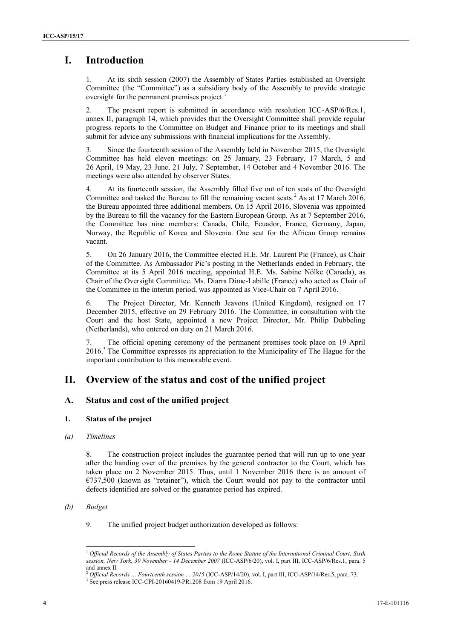# **I. Introduction**

At its sixth session (2007) the Assembly of States Parties established an Oversight Committee (the "Committee") as a subsidiary body of the Assembly to provide strategic oversight for the permanent premises project.<sup>1</sup>

2. The present report is submitted in accordance with resolution ICC-ASP/6/Res.1, annex II, paragraph 14, which provides that the Oversight Committee shall provide regular progress reports to the Committee on Budget and Finance prior to its meetings and shall submit for advice any submissions with financial implications for the Assembly.

3. Since the fourteenth session of the Assembly held in November 2015, the Oversight Committee has held eleven meetings: on 25 January, 23 February, 17 March, 5 and 26 April, 19 May, 23 June, 21 July, 7 September, 14 October and 4 November 2016. The meetings were also attended by observer States.

4. At its fourteenth session, the Assembly filled five out of ten seats of the Oversight Committee and tasked the Bureau to fill the remaining vacant seats.<sup>2</sup> As at 17 March 2016, the Bureau appointed three additional members. On 15 April 2016, Slovenia was appointed by the Bureau to fill the vacancy for the Eastern European Group. As at 7 September 2016, the Committee has nine members: Canada, Chile, Ecuador, France, Germany, Japan, Norway, the Republic of Korea and Slovenia. One seat for the African Group remains vacant.

5. On 26 January 2016, the Committee elected H.E. Mr. Laurent Pic (France), as Chair of the Committee. As Ambassador Pic's posting in the Netherlands ended in February, the Committee at its 5 April 2016 meeting, appointed H.E. Ms. Sabine Nölke (Canada), as Chair of the Oversight Committee. Ms. Diarra Dime-Labille (France) who acted as Chair of the Committee in the interim period, was appointed as Vice-Chair on 7 April 2016.

6. The Project Director, Mr. Kenneth Jeavons (United Kingdom), resigned on 17 December 2015, effective on 29 February 2016. The Committee, in consultation with the Court and the host State, appointed a new Project Director, Mr. Philip Dubbeling (Netherlands), who entered on duty on 21 March 2016.

7. The official opening ceremony of the permanent premises took place on 19 April 2016.<sup>3</sup> The Committee expresses its appreciation to the Municipality of The Hague for the important contribution to this memorable event.

# **II. Overview of the status and cost of the unified project**

## **A. Status and cost of the unified project**

## **1. Status of the project**

#### *(a) Timelines*

8. The construction project includes the guarantee period that will run up to one year after the handing over of the premises by the general contractor to the Court, which has taken place on 2 November 2015. Thus, until 1 November 2016 there is an amount of €737,500 (known as "retainer"), which the Court would not pay to the contractor until defects identified are solved or the guarantee period has expired.

#### *(b) Budget*

9. The unified project budget authorization developed as follows:

<sup>1</sup> *Official Records of the Assembly of States Parties to the Rome Statute of the International Criminal Court, Sixth session, New York, 30 November - 14 December 2007* (ICC-ASP/6/20), vol. I, part III, ICC-ASP/6/Res.1, para. 5 and annex II.

<sup>&</sup>lt;sup>2</sup> *Official Records ... Fourteenth session ... 2015* (ICC-ASP/14/20), vol. I, part III, ICC-ASP/14/Res.5, para. 73. <sup>3</sup> See press release ICC-CPI-20160419-PR1208 from 19 April 2016.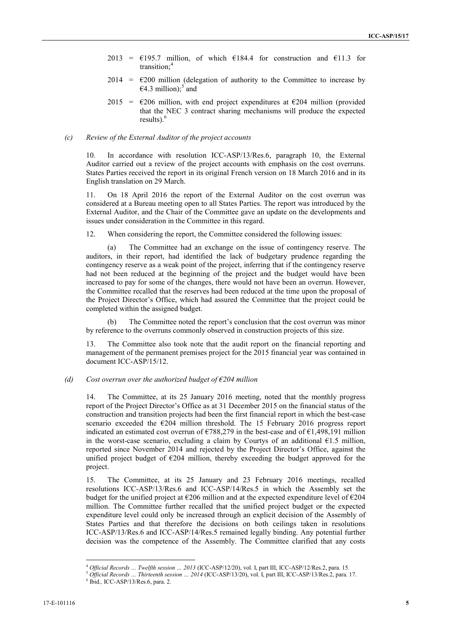- 2013 =  $\epsilon$ 195.7 million, of which  $\epsilon$ 184.4 for construction and  $\epsilon$ 11.3 for transition;<sup>4</sup>
- $2014 = \text{\textsterling}200$  million (delegation of authority to the Committee to increase by  $64.3$  million);<sup>5</sup> and
- $2015 = \text{\textsterling}206$  million, with end project expenditures at  $\text{\textsterling}204$  million (provided) that the NEC 3 contract sharing mechanisms will produce the expected results). $<sup>6</sup>$ </sup>

#### *(c) Review of the External Auditor of the project accounts*

10. In accordance with resolution ICC-ASP/13/Res.6, paragraph 10, the External Auditor carried out a review of the project accounts with emphasis on the cost overruns. States Parties received the report in its original French version on 18 March 2016 and in its English translation on 29 March.

11. On 18 April 2016 the report of the External Auditor on the cost overrun was considered at a Bureau meeting open to all States Parties. The report was introduced by the External Auditor, and the Chair of the Committee gave an update on the developments and issues under consideration in the Committee in this regard.

12. When considering the report, the Committee considered the following issues:

(a) The Committee had an exchange on the issue of contingency reserve. The auditors, in their report, had identified the lack of budgetary prudence regarding the contingency reserve as a weak point of the project, inferring that if the contingency reserve had not been reduced at the beginning of the project and the budget would have been increased to pay for some of the changes, there would not have been an overrun. However, the Committee recalled that the reserves had been reduced at the time upon the proposal of the Project Director's Office, which had assured the Committee that the project could be completed within the assigned budget.

(b) The Committee noted the report's conclusion that the cost overrun was minor by reference to the overruns commonly observed in construction projects of this size.

13. The Committee also took note that the audit report on the financial reporting and management of the permanent premises project for the 2015 financial year was contained in document ICC-ASP/15/12.

#### *(d) Cost overrun over the authorized budget of €204 million*

14. The Committee, at its 25 January 2016 meeting, noted that the monthly progress report of the Project Director's Office as at 31 December 2015 on the financial status of the construction and transition projects had been the first financial report in which the best-case scenario exceeded the  $\epsilon 204$  million threshold. The 15 February 2016 progress report indicated an estimated cost overrun of  $\epsilon$ 788,279 in the best-case and of  $\epsilon$ 1,498,191 million in the worst-case scenario, excluding a claim by Courtys of an additional  $61.5$  million, reported since November 2014 and rejected by the Project Director's Office, against the unified project budget of  $\epsilon$ 204 million, thereby exceeding the budget approved for the project.

15. The Committee, at its 25 January and 23 February 2016 meetings, recalled resolutions ICC-ASP/13/Res.6 and ICC-ASP/14/Res.5 in which the Assembly set the budget for the unified project at  $\epsilon$ 206 million and at the expected expenditure level of  $\epsilon$ 204 million. The Committee further recalled that the unified project budget or the expected expenditure level could only be increased through an explicit decision of the Assembly of States Parties and that therefore the decisions on both ceilings taken in resolutions ICC-ASP/13/Res.6 and ICC-ASP/14/Res.5 remained legally binding. Any potential further decision was the competence of the Assembly. The Committee clarified that any costs

<sup>4</sup> *Official Records … Twelfth session … 2013* (ICC-ASP/12/20), vol. I, part III, ICC-ASP/12/Res.2, para. 15.

<sup>5</sup> *Official Records … Thirteenth session … 2014* (ICC-ASP/13/20), vol. I, part III, ICC-ASP/13/Res.2, para. 17. <sup>6</sup> Ibid.*,* ICC-ASP/13/Res.6, para. 2.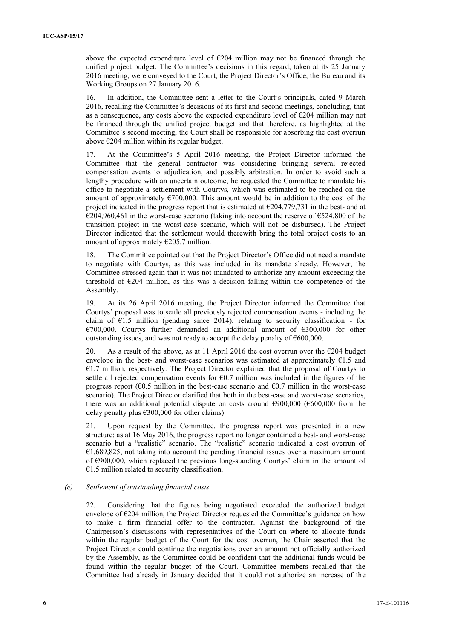above the expected expenditure level of €204 million may not be financed through the unified project budget. The Committee's decisions in this regard, taken at its 25 January 2016 meeting, were conveyed to the Court, the Project Director's Office, the Bureau and its Working Groups on 27 January 2016.

16. In addition, the Committee sent a letter to the Court's principals, dated 9 March 2016, recalling the Committee's decisions of its first and second meetings, concluding, that as a consequence, any costs above the expected expenditure level of  $E$ 204 million may not be financed through the unified project budget and that therefore, as highlighted at the Committee's second meeting, the Court shall be responsible for absorbing the cost overrun above €204 million within its regular budget.

17. At the Committee's 5 April 2016 meeting, the Project Director informed the Committee that the general contractor was considering bringing several rejected compensation events to adjudication, and possibly arbitration. In order to avoid such a lengthy procedure with an uncertain outcome, he requested the Committee to mandate his office to negotiate a settlement with Courtys, which was estimated to be reached on the amount of approximately  $\epsilon$ 700,000. This amount would be in addition to the cost of the project indicated in the progress report that is estimated at  $\epsilon$ 204,779,731 in the best- and at  $\epsilon$ 204,960,461 in the worst-case scenario (taking into account the reserve of  $\epsilon$ 524,800 of the transition project in the worst-case scenario, which will not be disbursed). The Project Director indicated that the settlement would therewith bring the total project costs to an amount of approximately  $\epsilon$ 205.7 million.

18. The Committee pointed out that the Project Director's Office did not need a mandate to negotiate with Courtys, as this was included in its mandate already. However, the Committee stressed again that it was not mandated to authorize any amount exceeding the threshold of  $E204$  million, as this was a decision falling within the competence of the Assembly.

19. At its 26 April 2016 meeting, the Project Director informed the Committee that Courtys' proposal was to settle all previously rejected compensation events - including the claim of  $E1.5$  million (pending since 2014), relating to security classification - for €700,000. Courtys further demanded an additional amount of €300,000 for other outstanding issues, and was not ready to accept the delay penalty of  $\epsilon$ 600,000.

20. As a result of the above, as at 11 April 2016 the cost overrun over the  $\epsilon$ 204 budget envelope in the best- and worst-case scenarios was estimated at approximately  $E1.5$  and €1.7 million, respectively. The Project Director explained that the proposal of Courtys to settle all rejected compensation events for  $60.7$  million was included in the figures of the progress report ( $60.5$  million in the best-case scenario and  $60.7$  million in the worst-case scenario). The Project Director clarified that both in the best-case and worst-case scenarios, there was an additional potential dispute on costs around  $\epsilon$ 900,000 ( $\epsilon$ 600,000 from the delay penalty plus  $\epsilon$ 300,000 for other claims).

21. Upon request by the Committee, the progress report was presented in a new structure: as at 16 May 2016, the progress report no longer contained a best- and worst-case scenario but a "realistic" scenario. The "realistic" scenario indicated a cost overrun of  $€1,689,825$ , not taking into account the pending financial issues over a maximum amount of €900,000, which replaced the previous long-standing Courtys' claim in the amount of  $€1.5$  million related to security classification.

#### *(e) Settlement of outstanding financial costs*

22. Considering that the figures being negotiated exceeded the authorized budget envelope of €204 million, the Project Director requested the Committee's guidance on how to make a firm financial offer to the contractor. Against the background of the Chairperson's discussions with representatives of the Court on where to allocate funds within the regular budget of the Court for the cost overrun, the Chair asserted that the Project Director could continue the negotiations over an amount not officially authorized by the Assembly, as the Committee could be confident that the additional funds would be found within the regular budget of the Court. Committee members recalled that the Committee had already in January decided that it could not authorize an increase of the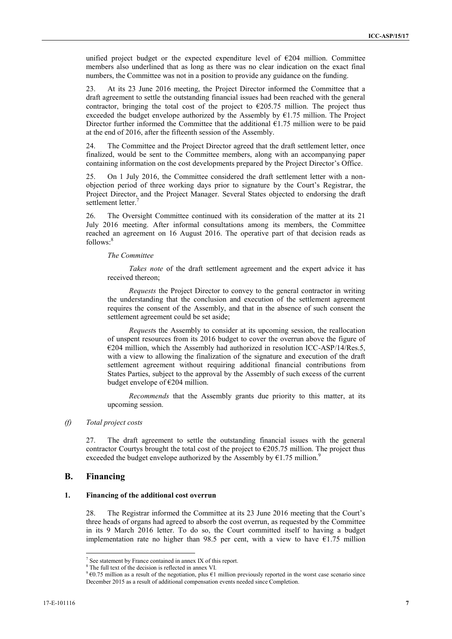unified project budget or the expected expenditure level of  $E204$  million. Committee members also underlined that as long as there was no clear indication on the exact final numbers, the Committee was not in a position to provide any guidance on the funding.

23. At its 23 June 2016 meeting, the Project Director informed the Committee that a draft agreement to settle the outstanding financial issues had been reached with the general contractor, bringing the total cost of the project to  $\epsilon$ 205.75 million. The project thus exceeded the budget envelope authorized by the Assembly by  $E1.75$  million. The Project Director further informed the Committee that the additional  $\epsilon$ 1.75 million were to be paid at the end of 2016, after the fifteenth session of the Assembly.

24. The Committee and the Project Director agreed that the draft settlement letter, once finalized, would be sent to the Committee members, along with an accompanying paper containing information on the cost developments prepared by the Project Director's Office.

25. On 1 July 2016, the Committee considered the draft settlement letter with a non objection period of three working days prior to signature by the Court's Registrar, the Project Director, and the Project Manager. Several States objected to endorsing the draft settlement letter.<sup>7</sup>

26. The Oversight Committee continued with its consideration of the matter at its 21 July 2016 meeting. After informal consultations among its members, the Committee reached an agreement on 16 August 2016. The operative part of that decision reads as follows:<sup>8</sup>

#### *The Committee*

*Takes note* of the draft settlement agreement and the expert advice it has received thereon;

*Requests* the Project Director to convey to the general contractor in writing the understanding that the conclusion and execution of the settlement agreement requires the consent of the Assembly, and that in the absence of such consent the settlement agreement could be set aside;

*Request*s the Assembly to consider at its upcoming session, the reallocation of unspent resources from its 2016 budget to cover the overrun above the figure of  $E204$  million, which the Assembly had authorized in resolution ICC-ASP/14/Res.5, with a view to allowing the finalization of the signature and execution of the draft settlement agreement without requiring additional financial contributions from States Parties, subject to the approval by the Assembly of such excess of the current budget envelope of €204 million.

*Recommends* that the Assembly grants due priority to this matter, at its upcoming session.

#### *(f) Total project costs*

27. The draft agreement to settle the outstanding financial issues with the general contractor Courtys brought the total cost of the project to  $\epsilon$ 205.75 million. The project thus exceeded the budget envelope authorized by the Assembly by  $E1.75$  million.<sup>9</sup>

## **B. Financing**

#### **1. Financing of the additional cost overrun**

28. The Registrar informed the Committee at its 23 June 2016 meeting that the Court's three heads of organs had agreed to absorb the cost overrun, as requested by the Committee in its 9 March 2016 letter. To do so, the Court committed itself to having a budget implementation rate no higher than 98.5 per cent, with a view to have  $\epsilon$ 1.75 million

<sup>7</sup> See statement by France contained in annex IX of this report.

<sup>&</sup>lt;sup>8</sup> The full text of the decision is reflected in annex VI.

 $9 \text{ } \infty$  0.75 million as a result of the negotiation, plus  $\infty$ 1 million previously reported in the worst case scenario since December 2015 as a result of additional compensation events needed since Completion.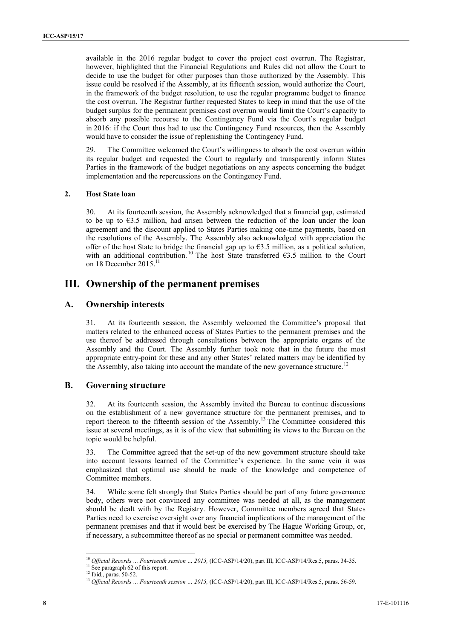available in the 2016 regular budget to cover the project cost overrun. The Registrar, however, highlighted that the Financial Regulations and Rules did not allow the Court to decide to use the budget for other purposes than those authorized by the Assembly. This issue could be resolved if the Assembly, at its fifteenth session, would authorize the Court, in the framework of the budget resolution, to use the regular programme budget to finance the cost overrun. The Registrar further requested States to keep in mind that the use of the budget surplus for the permanent premises cost overrun would limit the Court's capacity to absorb any possible recourse to the Contingency Fund via the Court's regular budget in 2016: if the Court thus had to use the Contingency Fund resources, then the Assembly would have to consider the issue of replenishing the Contingency Fund.

29. The Committee welcomed the Court's willingness to absorb the cost overrun within its regular budget and requested the Court to regularly and transparently inform States Parties in the framework of the budget negotiations on any aspects concerning the budget implementation and the repercussions on the Contingency Fund.

#### **2. Host State loan**

30. At its fourteenth session, the Assembly acknowledged that a financial gap, estimated to be up to  $\epsilon$ 3.5 million, had arisen between the reduction of the loan under the loan agreement and the discount applied to States Parties making one-time payments, based on the resolutions of the Assembly. The Assembly also acknowledged with appreciation the offer of the host State to bridge the financial gap up to  $63.5$  million, as a political solution, with an additional contribution.<sup>10</sup> The host State transferred  $\epsilon$ 3.5 million to the Court on 18 December  $2015$ <sup>11</sup>

## **III. Ownership of the permanent premises**

## **A. Ownership interests**

31. At its fourteenth session, the Assembly welcomed the Committee's proposal that matters related to the enhanced access of States Parties to the permanent premises and the use thereof be addressed through consultations between the appropriate organs of the Assembly and the Court. The Assembly further took note that in the future the most appropriate entry-point for these and any other States' related matters may be identified by the Assembly, also taking into account the mandate of the new governance structure.<sup>12</sup>

## **B. Governing structure**

32. At its fourteenth session, the Assembly invited the Bureau to continue discussions on the establishment of a new governance structure for the permanent premises, and to report thereon to the fifteenth session of the Assembly.<sup>13</sup> The Committee considered this issue at several meetings, as it is of the view that submitting its views to the Bureau on the topic would be helpful.

33. The Committee agreed that the set-up of the new government structure should take into account lessons learned of the Committee's experience. In the same vein it was emphasized that optimal use should be made of the knowledge and competence of Committee members.

34. While some felt strongly that States Parties should be part of any future governance body, others were not convinced any committee was needed at all, as the management should be dealt with by the Registry. However, Committee members agreed that States Parties need to exercise oversight over any financial implications of the management of the permanent premises and that it would best be exercised by The Hague Working Group, or, if necessary, a subcommittee thereof as no special or permanent committee was needed.

<sup>10</sup> *Official Records … Fourteenth session … 2015,* (ICC-ASP/14/20), part III, ICC-ASP/14/Res.5, paras. 34-35.

<sup>&</sup>lt;sup>11</sup> See paragraph 62 of this report.<br><sup>12</sup> Ibid., paras. 50-52.

<sup>&</sup>lt;sup>13</sup> Official Records ... Fourteenth session ... 2015, (ICC-ASP/14/20), part III, ICC-ASP/14/Res.5, paras. 56-59.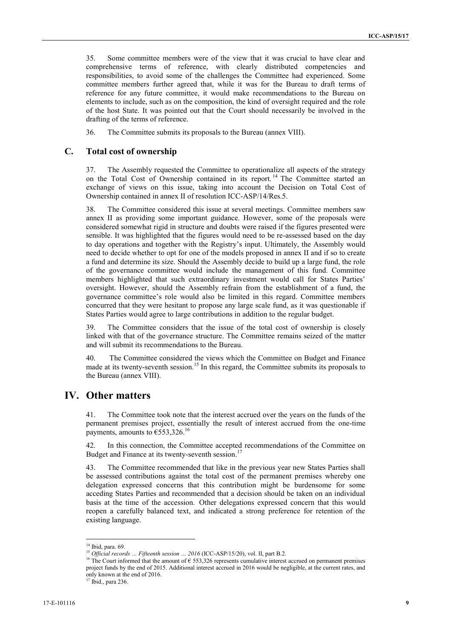35. Some committee members were of the view that it was crucial to have clear and comprehensive terms of reference, with clearly distributed competencies and responsibilities, to avoid some of the challenges the Committee had experienced. Some committee members further agreed that, while it was for the Bureau to draft terms of reference for any future committee, it would make recommendations to the Bureau on elements to include, such as on the composition, the kind of oversight required and the role of the host State. It was pointed out that the Court should necessarily be involved in the drafting of the terms of reference.

36. The Committee submits its proposals to the Bureau (annex VIII).

#### **C. Total cost of ownership**

37. The Assembly requested the Committee to operationalize all aspects of the strategy on the Total Cost of Ownership contained in its report.<sup>14</sup> The Committee started an exchange of views on this issue, taking into account the Decision on Total Cost of Ownership contained in annex II of resolution ICC-ASP/14/Res.5.

38. The Committee considered this issue at several meetings. Committee members saw annex II as providing some important guidance. However, some of the proposals were considered somewhat rigid in structure and doubts were raised if the figures presented were sensible. It was highlighted that the figures would need to be re-assessed based on the day to day operations and together with the Registry's input. Ultimately, the Assembly would need to decide whether to opt for one of the models proposed in annex II and if so to create a fund and determine its size. Should the Assembly decide to build up a large fund, the role of the governance committee would include the management of this fund. Committee members highlighted that such extraordinary investment would call for States Parties' oversight. However, should the Assembly refrain from the establishment of a fund, the governance committee's role would also be limited in this regard. Committee members concurred that they were hesitant to propose any large scale fund, as it was questionable if States Parties would agree to large contributions in addition to the regular budget.

39. The Committee considers that the issue of the total cost of ownership is closely linked with that of the governance structure. The Committee remains seized of the matter and will submit its recommendations to the Bureau.

40. The Committee considered the views which the Committee on Budget and Finance made at its twenty-seventh session.<sup>15</sup> In this regard, the Committee submits its proposals to the Bureau (annex VIII).

# **IV. Other matters**

41. The Committee took note that the interest accrued over the years on the funds of the permanent premises project, essentially the result of interest accrued from the one-time payments, amounts to  $\epsilon$ 553,326.<sup>16</sup>

42. In this connection, the Committee accepted recommendations of the Committee on Budget and Finance at its twenty-seventh session.<sup>17</sup>

43. The Committee recommended that like in the previous year new States Parties shall be assessed contributions against the total cost of the permanent premises whereby one delegation expressed concerns that this contribution might be burdensome for some acceding States Parties and recommended that a decision should be taken on an individual basis at the time of the accession. Other delegations expressed concern that this would reopen a carefully balanced text, and indicated a strong preference for retention of the existing language.

 $^{14}$ Ibid, para. 69.<br> $^{15}$  Official records  $\ldots$  Fifteenth session  $\ldots$  2016 (ICC-ASP/15/20), vol. II, part B.2.

<sup>&</sup>lt;sup>16</sup> The Court informed that the amount of  $\epsilon$  553,326 represents cumulative interest accrued on permanent premises project funds by the end of 2015. Additional interest accrued in 2016 would be negligible, at the current rates, and only known at the end of 2016.<br><sup>17</sup> Ibid., para 236.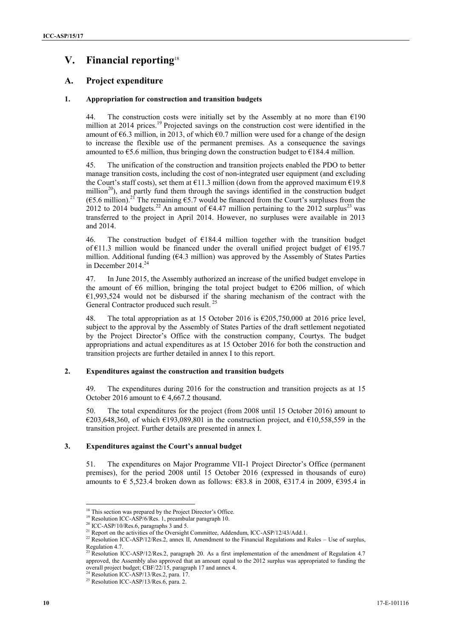# **V. Financial reporting**<sup>18</sup>

## **A. Project expenditure**

#### **1. Appropriation for construction and transition budgets**

44. The construction costs were initially set by the Assembly at no more than  $\epsilon$ 190 million at 2014 prices.<sup>19</sup> Projected savings on the construction cost were identified in the amount of  $\epsilon$ 6.3 million, in 2013, of which  $\epsilon$ 0.7 million were used for a change of the design to increase the flexible use of the permanent premises. As a consequence the savings amounted to  $\epsilon$ 5.6 million, thus bringing down the construction budget to  $\epsilon$ 184.4 million.

45. The unification of the construction and transition projects enabled the PDO to better manage transition costs, including the cost of non-integrated user equipment (and excluding the Court's staff costs), set them at  $E11.3$  million (down from the approved maximum  $E19.8$ million<sup>20</sup>), and partly fund them through the savings identified in the construction budget ( $\epsilon$ 5.6 million).<sup>21</sup> The remaining  $\epsilon$ 5.7 would be financed from the Court's surpluses from the 2012 to 2014 budgets.<sup>22</sup> An amount of  $\epsilon 4.47$  million pertaining to the 2012 surplus<sup>23</sup> was transferred to the project in April 2014. However, no surpluses were available in 2013 and 2014.

46. The construction budget of  $E184.4$  million together with the transition budget of €11.3 million would be financed under the overall unified project budget of €195.7 million. Additional funding ( $64.3$  million) was approved by the Assembly of States Parties in December 2014.<sup>24</sup>

47. In June 2015, the Assembly authorized an increase of the unified budget envelope in the amount of  $\epsilon$ 6 million, bringing the total project budget to  $\epsilon$ 206 million, of which  $€1,993,524$  would not be disbursed if the sharing mechanism of the contract with the General Contractor produced such result.<sup>25</sup>

48. The total appropriation as at 15 October 2016 is €205,750,000 at 2016 price level, subject to the approval by the Assembly of States Parties of the draft settlement negotiated by the Project Director's Office with the construction company, Courtys. The budget appropriations and actual expenditures as at 15 October 2016 for both the construction and transition projects are further detailed in annex I to this report.

#### **2. Expenditures against the construction and transition budgets**

49. The expenditures during 2016 for the construction and transition projects as at 15 October 2016 amount to  $\epsilon$  4.667.2 thousand.

50. The total expenditures for the project (from 2008 until 15 October 2016) amount to €203,648,360, of which €193,089,801 in the construction project, and €10,558,559 in the transition project. Further details are presented in annex I.

#### **3. Expenditures against the Court's annual budget**

51. The expenditures on Major Programme VII-1 Project Director's Office (permanent premises), for the period 2008 until 15 October 2016 (expressed in thousands of euro) amounts to € 5,523.4 broken down as follows: €83.8 in 2008, €317.4 in 2009, €395.4 in

<sup>&</sup>lt;sup>18</sup> This section was prepared by the Project Director's Office. <sup>19</sup> Resolution ICC-ASP/6/Res. 1, preambular paragraph 10.

<sup>&</sup>lt;sup>20</sup> ICC-ASP/10/Res.6, paragraphs 3 and 5.<br><sup>21</sup> Report on the activities of the Oversight Committee, Addendum, ICC-ASP/12/43/Add.1.

<sup>&</sup>lt;sup>22</sup> Resolution ICC-ASP/12/Res.2, annex II, Amendment to the Financial Regulations and Rules – Use of surplus, Regulation 4.7.

<sup>&</sup>lt;sup>23</sup> Resolution ICC-ASP/12/Res.2, paragraph 20. As a first implementation of the amendment of Regulation 4.7 approved, the Assembly also approved that an amount equal to the 2012 surplus was appropriated to funding the overall project budget; CBF/22/15, paragraph 17 and annex 4.<br><sup>24</sup> Resolution ICC-ASP/13/Res.2, para. 17.

 $25$  Resolution ICC-ASP/13/Res.6, para. 2.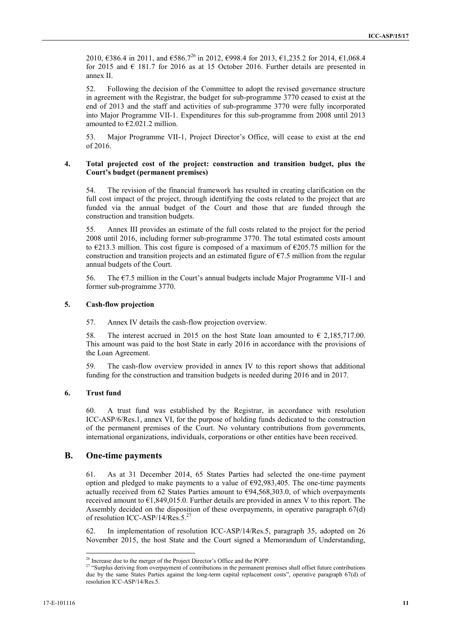2010, €386.4 in 2011, and  $€586.7^{26}$  in 2012, €998.4 for 2013, €1,235.2 for 2014, €1,068.4 for 2015 and  $\epsilon$  181.7 for 2016 as at 15 October 2016. Further details are presented in annex II.

52. Following the decision of the Committee to adopt the revised governance structure in agreement with the Registrar, the budget for sub-programme 3770 ceased to exist at the end of 2013 and the staff and activities of sub-programme 3770 were fully incorporated into Major Programme VII-1. Expenditures for this sub-programme from 2008 until 2013 amounted to  $\epsilon$ 2.021.2 million.

53. Major Programme VII-1, Project Director's Office, will cease to exist at the end of 2016.

#### **4. Total projected cost of the project: construction and transition budget, plus the Court's budget (permanent premises)**

54. The revision of the financial framework has resulted in creating clarification on the full cost impact of the project, through identifying the costs related to the project that are funded via the annual budget of the Court and those that are funded through the construction and transition budgets.

55. Annex III provides an estimate of the full costs related to the project for the period 2008 until 2016, including former sub-programme 3770. The total estimated costs amount to  $\epsilon$ 213.3 million. This cost figure is composed of a maximum of  $\epsilon$ 205.75 million for the construction and transition projects and an estimated figure of  $\epsilon$ 7.5 million from the regular annual budgets of the Court.

56. The €7.5 million in the Court's annual budgets include Major Programme VII-1 and former sub-programme 3770.

#### **5. Cash-flow projection**

57. Annex IV details the cash-flow projection overview.

58. The interest accrued in 2015 on the host State loan amounted to  $\epsilon$  2,185,717.00. This amount was paid to the host State in early 2016 in accordance with the provisions of the Loan Agreement.

59. The cash-flow overview provided in annex IV to this report shows that additional funding for the construction and transition budgets is needed during 2016 and in 2017.

#### **6. Trust fund**

60. A trust fund was established by the Registrar, in accordance with resolution ICC-ASP/6/Res.1, annex VI, for the purpose of holding funds dedicated to the construction of the permanent premises of the Court. No voluntary contributions from governments, international organizations, individuals, corporations or other entities have been received.

## **B. One-time payments**

61. As at 31 December 2014, 65 States Parties had selected the one-time payment option and pledged to make payments to a value of  $\epsilon$ 92,983,405. The one-time payments actually received from 62 States Parties amount to  $\epsilon$ 94,568,303.0, of which overpayments received amount to  $E1,849,015.0$ . Further details are provided in annex V to this report. The Assembly decided on the disposition of these overpayments, in operative paragraph 67(d) of resolution ICC-ASP/14/Res.5.<sup>27</sup>

62. In implementation of resolution ICC-ASP/14/Res.5, paragraph 35, adopted on 26 November 2015, the host State and the Court signed a Memorandum of Understanding,

<sup>&</sup>lt;sup>26</sup> Increase due to the merger of the Project Director's Office and the POPP.

<sup>&</sup>lt;sup>27</sup> "Surplus deriving from overpayment of contributions in the permanent premises shall offset future contributions due by the same States Parties against the long-term capital replacement costs", operative paragraph 67(d) of resolution ICC-ASP/14/Res.5.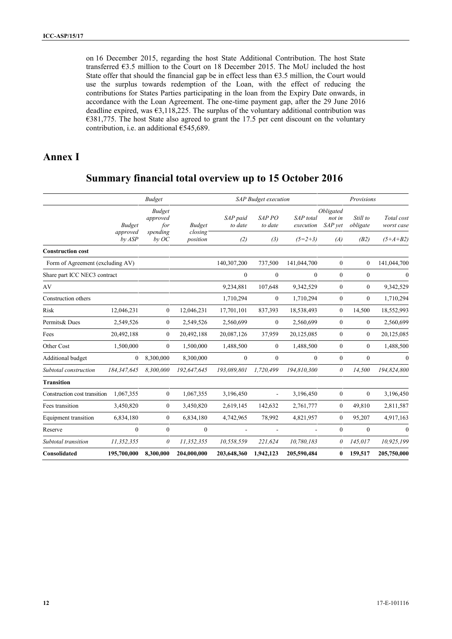on 16 December 2015, regarding the host State Additional Contribution. The host State transferred €3.5 million to the Court on 18 December 2015. The MoU included the host State offer that should the financial gap be in effect less than  $63.5$  million, the Court would use the surplus towards redemption of the Loan, with the effect of reducing the contributions for States Parties participating in the loan from the Expiry Date onwards, in accordance with the Loan Agreement. The one-time payment gap, after the 29 June 2016 deadline expired, was  $63,118,225$ . The surplus of the voluntary additional contribution was €381,775. The host State also agreed to grant the 17.5 per cent discount on the voluntary contribution, i.e. an additional  $£545,689$ .

# **Annex I**

# **Summary financial total overview up to 15 October 2016**

|                                  |                    | <b>Budget</b>                    |                     | <b>SAP</b> Budget execution |                              |                          |                                | Provisions           |                          |  |
|----------------------------------|--------------------|----------------------------------|---------------------|-----------------------------|------------------------------|--------------------------|--------------------------------|----------------------|--------------------------|--|
|                                  | <b>Budget</b>      | <b>Budget</b><br>approved<br>for | <b>Budget</b>       | SAP paid<br>to date         | SAP <sub>PO</sub><br>to date | SAP total<br>execution   | Obligated<br>not in<br>SAP vet | Still to<br>obligate | Total cost<br>worst case |  |
|                                  | approved<br>by ASP | spending<br>$by$ OC              | closing<br>position | (2)                         | (3)                          | $(5=2+3)$                | (A)                            | (B2)                 | $(5+A+B2)$               |  |
| <b>Construction cost</b>         |                    |                                  |                     |                             |                              |                          |                                |                      |                          |  |
| Form of Agreement (excluding AV) |                    |                                  |                     | 140,307,200                 | 737,500                      | 141,044,700              | $\boldsymbol{0}$               | $\overline{0}$       | 141,044,700              |  |
| Share part ICC NEC3 contract     |                    |                                  |                     | $\mathbf{0}$                | $\mathbf{0}$                 | $\theta$                 | $\theta$                       | $\mathbf{0}$         | $\theta$                 |  |
| AV                               |                    |                                  |                     | 9,234,881                   | 107,648                      | 9,342,529                | $\mathbf{0}$                   | $\mathbf{0}$         | 9,342,529                |  |
| Construction others              |                    |                                  |                     | 1,710,294                   | $\overline{0}$               | 1,710,294                | $\boldsymbol{0}$               | $\boldsymbol{0}$     | 1,710,294                |  |
| Risk                             | 12,046,231         | $\boldsymbol{0}$                 | 12,046,231          | 17,701,101                  | 837,393                      | 18,538,493               | $\boldsymbol{0}$               | 14,500               | 18,552,993               |  |
| Permits& Dues                    | 2,549,526          | $\boldsymbol{0}$                 | 2,549,526           | 2,560,699                   | $\boldsymbol{0}$             | 2,560,699                | $\mathbf{0}$                   | $\overline{0}$       | 2,560,699                |  |
| Fees                             | 20,492,188         | $\mathbf{0}$                     | 20,492,188          | 20,087,126                  | 37,959                       | 20,125,085               | $\boldsymbol{0}$               | $\boldsymbol{0}$     | 20,125,085               |  |
| Other Cost                       | 1,500,000          | $\boldsymbol{0}$                 | 1,500,000           | 1,488,500                   | $\boldsymbol{0}$             | 1,488,500                | $\boldsymbol{0}$               | $\overline{0}$       | 1,488,500                |  |
| Additional budget                | $\boldsymbol{0}$   | 8,300,000                        | 8,300,000           | $\mathbf{0}$                | $\overline{0}$               | $\mathbf{0}$             | $\mathbf{0}$                   | $\mathbf{0}$         | $\mathbf{0}$             |  |
| Subtotal construction            | 184,347,645        | 8,300,000                        | 192,647,645         | 193,089,801                 | 1,720,499                    | 194,810,300              | $\theta$                       | 14,500               | 194,824,800              |  |
| <b>Transition</b>                |                    |                                  |                     |                             |                              |                          |                                |                      |                          |  |
| Construction cost transition     | 1.067.355          | $\mathbf{0}$                     | 1,067,355           | 3,196,450                   | $\blacksquare$               | 3,196,450                | $\mathbf{0}$                   | $\overline{0}$       | 3,196,450                |  |
| Fees transition                  | 3,450,820          | $\boldsymbol{0}$                 | 3,450,820           | 2,619,145                   | 142,632                      | 2,761,777                | $\boldsymbol{0}$               | 49,810               | 2,811,587                |  |
| Equipment transition             | 6,834,180          | $\mathbf{0}$                     | 6,834,180           | 4,742,965                   | 78,992                       | 4,821,957                | $\mathbf{0}$                   | 95,207               | 4,917,163                |  |
| Reserve                          | $\boldsymbol{0}$   | $\boldsymbol{0}$                 | $\mathbf{0}$        | ۰                           | $\overline{\phantom{a}}$     | $\overline{\phantom{a}}$ | $\boldsymbol{0}$               | $\mathbf{0}$         | $\mathbf{0}$             |  |
| Subtotal transition              | 11,352,355         | $\theta$                         | 11,352,355          | 10,558,559                  | 221,624                      | 10,780,183               | 0                              | 145,017              | 10,925,199               |  |
| Consolidated                     | 195,700,000        | 8,300,000                        | 204,000,000         | 203,648,360                 | 1,942,123                    | 205,590,484              | 0                              | 159,517              | 205,750,000              |  |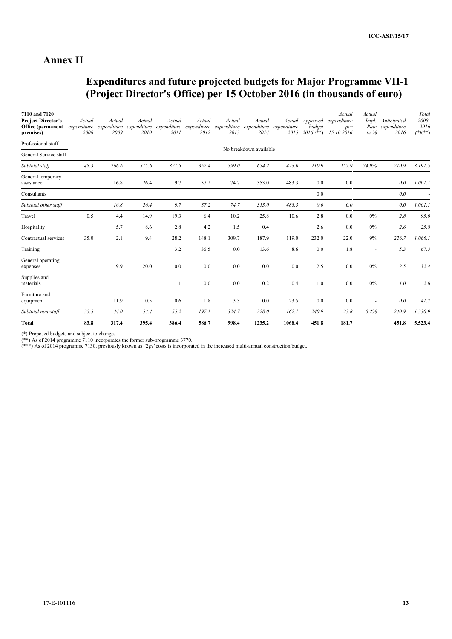# **Annex II**

# **Expenditures and future projected budgets for Major Programme VII-1 (Project Director's Office) per 15 October 2016 (in thousands of euro)**

| 7110 and 7120<br><b>Project Director's</b><br>Office (permanent<br>premises) | Actual<br>expenditure<br>2008 | Actual<br>expenditure<br>2009 | Actual<br>expenditure<br>2010 | Actual<br>expenditure<br>2011 | Actual<br>2012 | Actual<br>2013 | Actual<br>expenditure expenditure expenditure<br>2014 | expenditure<br>2015 | Actual Approved<br>budget<br>$2016$ (**) | Actual<br>expenditure<br>per<br>15.10.2016 | Actual<br>Impl.<br>in $%$ | Anticipated<br>Rate expenditure<br>2016 | Total<br>2008-<br>2016<br>$(^{*})$ $(^{*})$ |
|------------------------------------------------------------------------------|-------------------------------|-------------------------------|-------------------------------|-------------------------------|----------------|----------------|-------------------------------------------------------|---------------------|------------------------------------------|--------------------------------------------|---------------------------|-----------------------------------------|---------------------------------------------|
| Professional staff                                                           |                               |                               |                               |                               |                |                |                                                       |                     |                                          |                                            |                           |                                         |                                             |
| General Service staff                                                        |                               |                               |                               |                               |                |                | No breakdown available                                |                     |                                          |                                            |                           |                                         |                                             |
| Subtotal staff                                                               | 48.3                          | 266.6                         | 315.6                         | 321.5                         | 352.4          | 599.0          | 654.2                                                 | 423.0               | 210.9                                    | 157.9                                      | 74.9%                     | 210.9                                   | 3,191.5                                     |
| General temporary<br>assistance                                              |                               | 16.8                          | 26.4                          | 9.7                           | 37.2           | 74.7           | 353.0                                                 | 483.3               | 0.0                                      | 0.0                                        |                           | 0.0                                     | 1,001.1                                     |
| Consultants                                                                  |                               |                               |                               |                               |                |                |                                                       |                     | 0.0                                      |                                            |                           | 0.0                                     |                                             |
| Subtotal other staff                                                         |                               | 16.8                          | 26.4                          | 9.7                           | 37.2           | 74.7           | 353.0                                                 | 483.3               | 0.0                                      | 0.0                                        |                           | 0.0                                     | 1,001.1                                     |
| Travel                                                                       | 0.5                           | 4.4                           | 14.9                          | 19.3                          | 6.4            | 10.2           | 25.8                                                  | 10.6                | 2.8                                      | 0.0                                        | $0\%$                     | 2.8                                     | 95.0                                        |
| Hospitality                                                                  |                               | 5.7                           | 8.6                           | 2.8                           | 4.2            | 1.5            | 0.4                                                   |                     | 2.6                                      | 0.0                                        | $0\%$                     | 2.6                                     | 25.8                                        |
| Contractual services                                                         | 35.0                          | 2.1                           | 9.4                           | 28.2                          | 148.1          | 309.7          | 187.9                                                 | 119.0               | 232.0                                    | 22.0                                       | 9%                        | 226.7                                   | 1,066.1                                     |
| Training                                                                     |                               |                               |                               | 3.2                           | 36.5           | 0.0            | 13.6                                                  | 8.6                 | 0.0                                      | 1.8                                        |                           | 5.3                                     | 67.3                                        |
| General operating<br>expenses                                                |                               | 9.9                           | 20.0                          | 0.0                           | 0.0            | 0.0            | 0.0                                                   | 0.0                 | 2.5                                      | 0.0                                        | $0\%$                     | 2.5                                     | 32.4                                        |
| Supplies and<br>materials                                                    |                               |                               |                               | 1.1                           | 0.0            | 0.0            | 0.2                                                   | 0.4                 | 1.0                                      | 0.0                                        | $0\%$                     | 1.0                                     | 2.6                                         |
| Furniture and<br>equipment                                                   |                               | 11.9                          | 0.5                           | 0.6                           | 1.8            | 3.3            | 0.0                                                   | 23.5                | 0.0                                      | 0.0                                        | $\sim$                    | 0.0                                     | 41.7                                        |
| Subtotal non-staff                                                           | 35.5                          | 34.0                          | 53.4                          | 55.2                          | 197.1          | 324.7          | 228.0                                                 | 162.1               | 240.9                                    | 23.8                                       | 0.2%                      | 240.9                                   | 1,330.9                                     |
| <b>Total</b>                                                                 | 83.8                          | 317.4                         | 395.4                         | 386.4                         | 586.7          | 998.4          | 1235.2                                                | 1068.4              | 451.8                                    | 181.7                                      |                           | 451.8                                   | 5,523.4                                     |

(\*) Proposed budgets and subject to change.

(\*\*) As of 2014 programme 7110 incorporates the former sub-programme 3770.

(\*\*\*) As of 2014 programme 7130, previously known as "2gv"costs is incorporated in the increased multi-annual construction budget.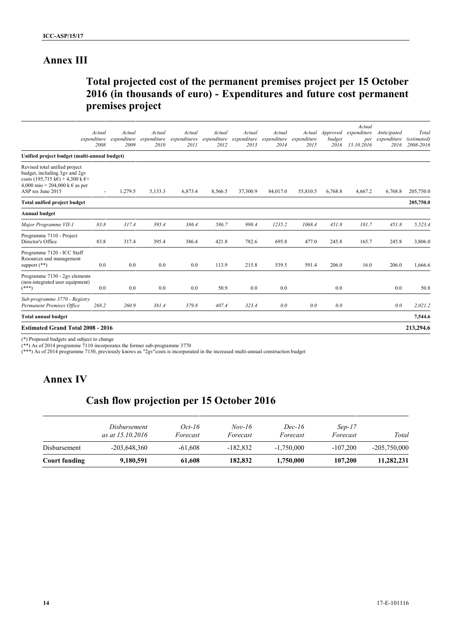# **Annex III**

# **Total projected cost of the permanent premises project per 15 October 2016 (in thousands of euro) - Expenditures and future cost permanent premises project**

|                                                                                                                                                                   | Actual                   | Actual              | Actual              | Actual               | Actual              | Actual              | Actual              | Actual              | Approved       | Actual<br>expenditure | Anticipated         | Total                    |
|-------------------------------------------------------------------------------------------------------------------------------------------------------------------|--------------------------|---------------------|---------------------|----------------------|---------------------|---------------------|---------------------|---------------------|----------------|-----------------------|---------------------|--------------------------|
|                                                                                                                                                                   | expenditure<br>2008      | expenditure<br>2009 | expenditure<br>2010 | expenditures<br>2011 | expenditure<br>2012 | expenditure<br>2013 | expenditure<br>2014 | expenditure<br>2015 | budget<br>2016 | per<br>15.10.2016     | expenditure<br>2016 | (estimated)<br>2008-2016 |
| Unified project budget (multi-annual budget)                                                                                                                      |                          |                     |                     |                      |                     |                     |                     |                     |                |                       |                     |                          |
| Revised total unified project<br>budget, including 3gv and 2gv<br>costs (195,715 k€) + 4,300 k €+<br>4,000 mio = 204,000 k $\epsilon$ as per<br>ASP res June 2015 | $\overline{\phantom{a}}$ | 1,279.5             | 5,133.3             | 6,873.4              | 8,566.5             | 37,300.9            | 84,017.0            | 55,810.5            | 6,768.8        | 4,667.2               | 6,768.8             | 205,750.0                |
| <b>Total unified project budget</b>                                                                                                                               |                          |                     |                     |                      |                     |                     |                     |                     |                |                       |                     | 205,750.0                |
| <b>Annual budget</b>                                                                                                                                              |                          |                     |                     |                      |                     |                     |                     |                     |                |                       |                     |                          |
| Major Programme VII-1                                                                                                                                             | 83.8                     | 317.4               | 395.4               | 386.4                | 586.7               | 998.4               | 1235.2              | 1068.4              | 451.8          | 181.7                 | 451.8               | 5,523.4                  |
| Programme 7110 - Project<br>Director's Office                                                                                                                     | 83.8                     | 317.4               | 395.4               | 386.4                | 421.8               | 782.6               | 695.8               | 477.0               | 245.8          | 165.7                 | 245.8               | 3,806.0                  |
| Programme 7120 - ICC Staff<br>Resources and management<br>support $(**)$                                                                                          | 0.0                      | 0.0                 | 0.0                 | 0.0                  | 113.9               | 215.8               | 539.5               | 591.4               | 206.0          | 16.0                  | 206.0               | 1,666.6                  |
| Programme 7130 - 2gv elements<br>(non-integrated user equipment)<br>$(***)$                                                                                       | 0.0                      | 0.0                 | 0.0                 | 0.0                  | 50.9                | 0.0                 | 0.0                 |                     | 0.0            |                       | 0.0                 | 50.8                     |
| Sub-programme 3770 - Registry<br>Permanent Premises Office                                                                                                        | 268.2                    | 260.9               | 381.4               | 379.8                | 407.4               | 323.4               | 0.0                 | 0.0                 | 0.0            |                       | 0.0                 | 2,021.2                  |
| <b>Total annual budget</b>                                                                                                                                        |                          |                     |                     |                      |                     |                     |                     |                     |                |                       |                     | 7,544.6                  |
| <b>Estimated Grand Total 2008 - 2016</b>                                                                                                                          |                          |                     |                     |                      |                     |                     |                     |                     |                |                       |                     | 213,294.6                |

(\*) Proposed budgets and subject to change

(\*\*) As of 2014 programme 7110 incorporates the former sub-programme 3770

(\*\*\*) As of 2014 programme 7130, previously knows as "2gv"costs is incorporated in the increased multi-annual construction budget

# **Annex IV**

# **Cash flow projection per 15 October 2016**

|               | Disbursement<br>as at 15.10.2016 | Oct-16<br>Forecast | $Nov-16$<br>Forecast | <i>Dec-16</i><br>Forecast | $Sep-17$<br>Forecast | Total          |
|---------------|----------------------------------|--------------------|----------------------|---------------------------|----------------------|----------------|
| Disbursement  | $-203,648,360$                   | $-61.608$          | $-182.832$           | $-1.750,000$              | $-107.200$           | $-205,750,000$ |
| Court funding | 9,180,591                        | 61,608             | 182,832              | 1,750,000                 | 107,200              | 11.282.231     |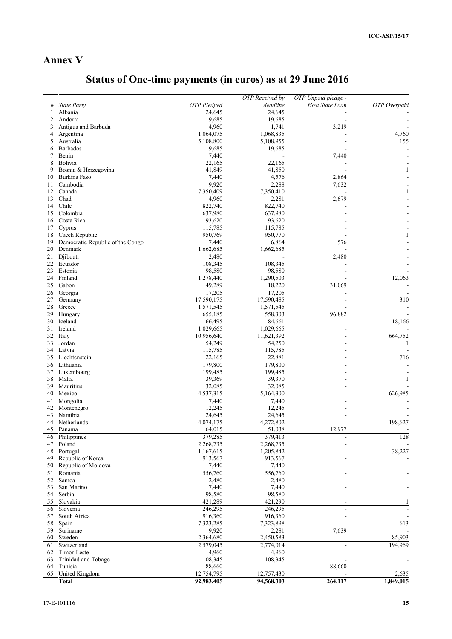# **Annex V**

# **Status of One-time payments (in euros) as at 29 June 2016**

|    |                                  |                    | OTP Received by | OTP Unpaid pledge - |              |
|----|----------------------------------|--------------------|-----------------|---------------------|--------------|
|    | <b>State Party</b>               | <b>OTP</b> Pledged | deadline        | Host State Loan     | OTP Overpaid |
| 1  | Albania                          | 24,645             | 24,645          |                     |              |
| 2  | Andorra                          | 19,685             | 19,685          |                     |              |
| 3  | Antigua and Barbuda              | 4,960              | 1,741           | 3,219               |              |
| 4  | Argentina                        | 1,064,075          | 1,068,835       |                     | 4,760        |
| 5  | Australia                        | 5,108,800          | 5,108,955       |                     | 155          |
| 6  | <b>Barbados</b>                  | 19,685             | 19,685          |                     |              |
| 7  | Benin                            | 7,440              |                 | 7,440               |              |
| 8  | Bolivia                          | 22,165             | 22,165          |                     |              |
| 9  | Bosnia & Herzegovina             | 41,849             | 41,850          |                     |              |
| 10 | Burkina Faso                     | 7,440              | 4,576           | 2,864               |              |
| 11 | Cambodia                         | 9,920              | 2,288           | 7,632               |              |
| 12 | Canada                           | 7,350,409          | 7,350,410       |                     | 1            |
| 13 | Chad                             | 4,960              | 2,281           | 2,679               |              |
| 14 | Chile                            | 822,740            | 822,740         |                     |              |
| 15 | Colombia                         | 637,980            | 637,980         |                     |              |
| 16 | Costa Rica                       | 93,620             | 93,620          |                     |              |
| 17 | Cyprus                           | 115,785            | 115,785         |                     |              |
| 18 | Czech Republic                   | 950,769            | 950,770         |                     |              |
| 19 | Democratic Republic of the Congo | 7,440              | 6,864           | 576                 |              |
| 20 | Denmark                          | 1,662,685          | 1,662,685       |                     |              |
| 21 | Djibouti                         | 2,480              |                 | 2,480               |              |
| 22 | Ecuador                          | 108,345            | 108,345         |                     |              |
| 23 | Estonia                          | 98,580             | 98,580          |                     |              |
| 24 | Finland                          | 1,278,440          | 1,290,503       |                     | 12,063       |
| 25 | Gabon                            | 49,289             | 18,220          | 31,069              |              |
| 26 | Georgia                          | 17,205             | 17,205          |                     |              |
| 27 | Germany                          | 17,590,175         | 17,590,485      |                     | 310          |
| 28 | Greece                           | 1,571,545          | 1,571,545       |                     |              |
| 29 | Hungary                          | 655,185            | 558,303         | 96,882              |              |
| 30 | Iceland                          | 66,495             | 84,661          |                     | 18,166       |
| 31 | Ireland                          | 1,029,665          | 1,029,665       |                     |              |
| 32 | Italy                            | 10,956,640         | 11,621,392      |                     | 664,752      |
| 33 | Jordan                           | 54,249             | 54,250          |                     | 1            |
| 34 | Latvia                           | 115,785            | 115,785         |                     |              |
| 35 | Liechtenstein                    | 22,165             | 22,881          |                     | 716          |
| 36 | Lithuania                        | 179,800            | 179,800         |                     |              |
| 37 | Luxembourg                       | 199,485            | 199,485         |                     |              |
| 38 | Malta                            | 39,369             | 39,370          |                     |              |
| 39 | Mauritius                        | 32,085             | 32,085          |                     |              |
| 40 | Mexico                           | 4,537,315          | 5,164,300       |                     | 626,985      |
| 41 | Mongolia                         | 7,440              | 7,440           |                     |              |
| 42 | Montenegro                       | 12,245             | 12,245          |                     |              |
| 43 | Namibia                          | 24,645             | 24,645          |                     |              |
| 44 | Netherlands                      | 4,074,175          | 4,272,802       |                     | 198,627      |
| 45 | Panama                           | 64,015             | 51,038          | 12,977              |              |
| 46 | Philippines                      | 379,285            | 379,413         |                     | 128          |
| 47 | Poland                           | 2,268,735          | 2,268,735       |                     |              |
| 48 | Portugal                         | 1,167,615          | 1,205,842       |                     | 38,227       |
| 49 | Republic of Korea                | 913,567            | 913,567         |                     |              |
| 50 | Republic of Moldova              | 7,440              | 7,440           |                     |              |
| 51 | Romania                          | 556,760            | 556,760         |                     |              |
| 52 | Samoa                            | 2,480              | 2,480           |                     |              |
| 53 | San Marino                       | 7,440              | 7,440           |                     |              |
| 54 | Serbia                           | 98,580             | 98,580          |                     |              |
| 55 | Slovakia                         | 421,289            | 421,290         |                     |              |
| 56 | Slovenia                         | 246,295            | 246,295         |                     |              |
| 57 | South Africa                     | 916,360            | 916,360         |                     |              |
| 58 | Spain                            | 7,323,285          | 7,323,898       |                     | 613          |
| 59 | Suriname                         | 9,920              | 2,281           | 7,639               |              |
| 60 | Sweden                           | 2,364,680          | 2,450,583       |                     | 85,903       |
| 61 | Switzerland                      | 2,579,045          | 2,774,014       |                     | 194,969      |
| 62 | Timor-Leste                      | 4,960              | 4,960           |                     |              |
| 63 | Trinidad and Tobago              | 108,345            | 108,345         |                     |              |
| 64 | Tunisia                          | 88,660             |                 | 88,660              |              |
|    | 65 United Kingdom                | 12,754,795         | 12,757,430      |                     | 2,635        |
|    | <b>Total</b>                     | 92,983,405         | 94,568,303      | 264,117             | 1,849,015    |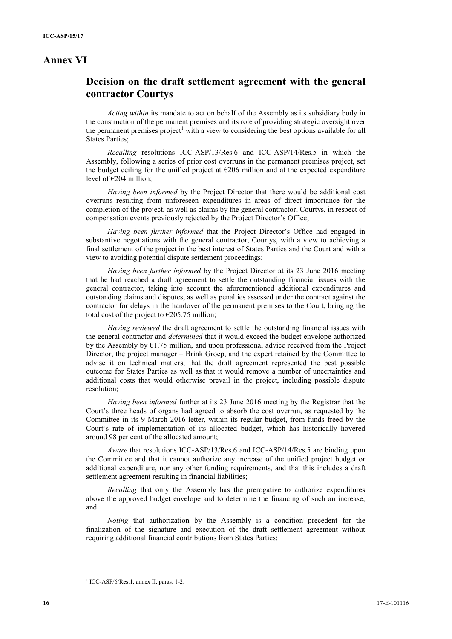## **Annex VI**

# **Decision on the draft settlement agreement with the general contractor Courtys**

*Acting within* its mandate to act on behalf of the Assembly as its subsidiary body in the construction of the permanent premises and its role of providing strategic oversight over the permanent premises project<sup>1</sup> with a view to considering the best options available for all States Parties;

*Recalling* resolutions ICC-ASP/13/Res.6 and ICC-ASP/14/Res.5 in which the Assembly, following a series of prior cost overruns in the permanent premises project, set the budget ceiling for the unified project at  $\epsilon$ 206 million and at the expected expenditure level of  $\epsilon$ 204 million:

*Having been informed* by the Project Director that there would be additional cost overruns resulting from unforeseen expenditures in areas of direct importance for the completion of the project, as well as claims by the general contractor, Courtys, in respect of compensation events previously rejected by the Project Director's Office;

*Having been further informed* that the Project Director's Office had engaged in substantive negotiations with the general contractor, Courtys, with a view to achieving a final settlement of the project in the best interest of States Parties and the Court and with a view to avoiding potential dispute settlement proceedings;

*Having been further informed* by the Project Director at its 23 June 2016 meeting that he had reached a draft agreement to settle the outstanding financial issues with the general contractor, taking into account the aforementioned additional expenditures and outstanding claims and disputes, as well as penalties assessed under the contract against the contractor for delays in the handover of the permanent premises to the Court, bringing the total cost of the project to  $\epsilon$ 205.75 million;

*Having reviewed* the draft agreement to settle the outstanding financial issues with the general contractor and *determined* that it would exceed the budget envelope authorized by the Assembly by  $\epsilon$ 1.75 million, and upon professional advice received from the Project Director, the project manager – Brink Groep, and the expert retained by the Committee to advise it on technical matters, that the draft agreement represented the best possible outcome for States Parties as well as that it would remove a number of uncertainties and additional costs that would otherwise prevail in the project, including possible dispute resolution;

*Having been informed* further at its 23 June 2016 meeting by the Registrar that the Court's three heads of organs had agreed to absorb the cost overrun, as requested by the Committee in its 9 March 2016 letter, within its regular budget, from funds freed by the Court's rate of implementation of its allocated budget, which has historically hovered around 98 per cent of the allocated amount;

*Aware* that resolutions ICC-ASP/13/Res.6 and ICC-ASP/14/Res.5 are binding upon the Committee and that it cannot authorize any increase of the unified project budget or additional expenditure, nor any other funding requirements, and that this includes a draft settlement agreement resulting in financial liabilities;

*Recalling* that only the Assembly has the prerogative to authorize expenditures above the approved budget envelope and to determine the financing of such an increase; and

*Noting* that authorization by the Assembly is a condition precedent for the finalization of the signature and execution of the draft settlement agreement without requiring additional financial contributions from States Parties;

 $1$  ICC-ASP/6/Res.1, annex II, paras. 1-2.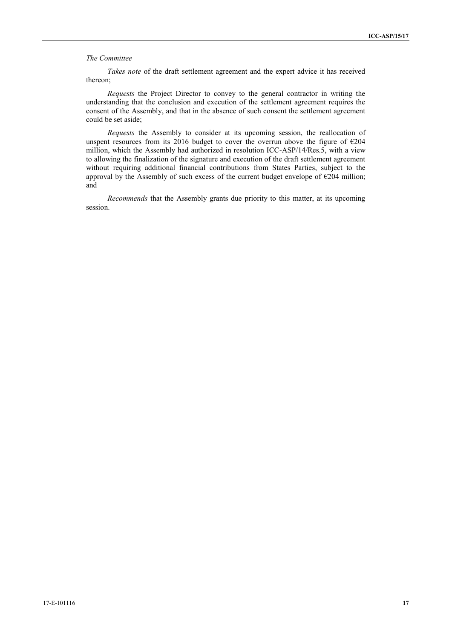#### *The Committee*

*Takes note* of the draft settlement agreement and the expert advice it has received thereon;

*Requests* the Project Director to convey to the general contractor in writing the understanding that the conclusion and execution of the settlement agreement requires the consent of the Assembly, and that in the absence of such consent the settlement agreement could be set aside;

*Requests* the Assembly to consider at its upcoming session, the reallocation of unspent resources from its 2016 budget to cover the overrun above the figure of  $\epsilon$ 204 million, which the Assembly had authorized in resolution ICC-ASP/14/Res.5, with a view to allowing the finalization of the signature and execution of the draft settlement agreement without requiring additional financial contributions from States Parties, subject to the approval by the Assembly of such excess of the current budget envelope of  $E$ 204 million; and

*Recommends* that the Assembly grants due priority to this matter, at its upcoming session.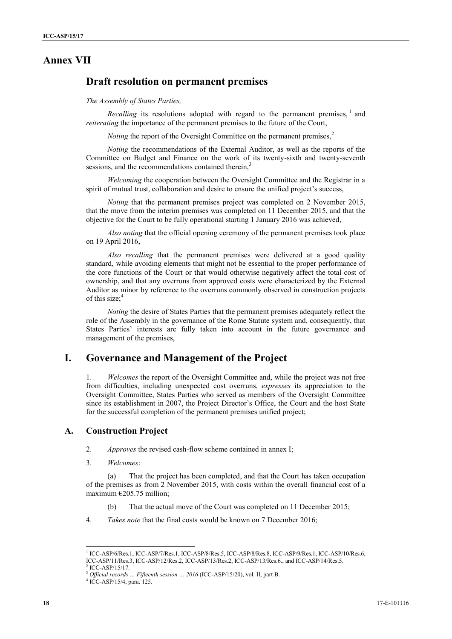# **Annex VII**

## **Draft resolution on permanent premises**

*The Assembly of States Parties,*

*Recalling* its resolutions adopted with regard to the permanent premises,<sup>1</sup> and *reiterating* the importance of the permanent premises to the future of the Court,

*Noting* the report of the Oversight Committee on the permanent premises,<sup>2</sup>

*Noting* the recommendations of the External Auditor, as well as the reports of the Committee on Budget and Finance on the work of its twenty-sixth and twenty-seventh sessions, and the recommendations contained therein,

*Welcoming* the cooperation between the Oversight Committee and the Registrar in a spirit of mutual trust, collaboration and desire to ensure the unified project's success,

*Noting* that the permanent premises project was completed on 2 November 2015, that the move from the interim premises was completed on 11 December 2015, and that the objective for the Court to be fully operational starting 1 January 2016 was achieved,

*Also noting* that the official opening ceremony of the permanent premises took place on 19 April 2016,

*Also recalling* that the permanent premises were delivered at a good quality standard, while avoiding elements that might not be essential to the proper performance of the core functions of the Court or that would otherwise negatively affect the total cost of ownership, and that any overruns from approved costs were characterized by the External Auditor as minor by reference to the overruns commonly observed in construction projects of this size: $4$ 

*Noting* the desire of States Parties that the permanent premises adequately reflect the role of the Assembly in the governance of the Rome Statute system and, consequently, that States Parties' interests are fully taken into account in the future governance and management of the premises,

## **I. Governance and Management of the Project**

1. *Welcomes* the report of the Oversight Committee and, while the project was not free from difficulties, including unexpected cost overruns, *expresses* its appreciation to the Oversight Committee, States Parties who served as members of the Oversight Committee since its establishment in 2007, the Project Director's Office, the Court and the host State for the successful completion of the permanent premises unified project;

## **A. Construction Project**

2. *Approves* the revised cash-flow scheme contained in annex I;

3. *Welcomes*:

(a) That the project has been completed, and that the Court has taken occupation of the premises as from 2 November 2015, with costs within the overall financial cost of a maximum  $E205.75$  million;

(b) That the actual move of the Court was completed on 11 December 2015;

4. *Takes note* that the final costs would be known on 7 December 2016;

<sup>1</sup> ICC-ASP/6/Res.1, ICC-ASP/7/Res.1, ICC-ASP/8/Res.5, ICC-ASP/8/Res.8, ICC-ASP/9/Res.1, ICC-ASP/10/Res.6, ICC-ASP/11/Res.3, ICC-ASP/12/Res.2, ICC-ASP/13/Res.2, ICC-ASP/13/Res.6., and ICC-ASP/14/Res.5.

<sup>2</sup> ICC-ASP/15/17.

<sup>3</sup> *Official records … Fifteenth session … <sup>2016</sup>* (ICC-ASP/15/20), vol. II, part B. <sup>4</sup> ICC-ASP/15/4, para. 125.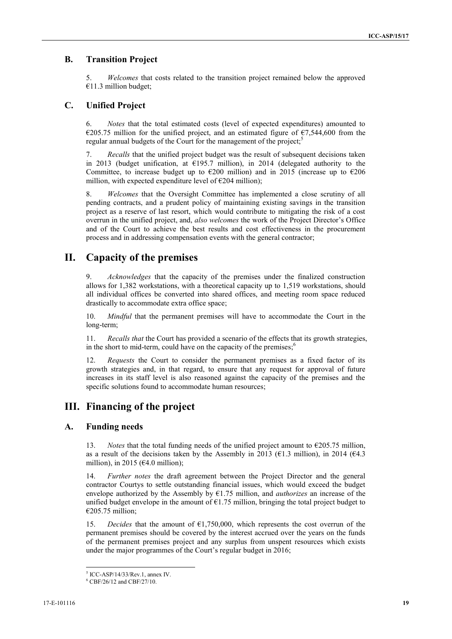## **B. Transition Project**

5. *Welcomes* that costs related to the transition project remained below the approved  $€11.3$  million budget;

### **C. Unified Project**

6. *Notes* that the total estimated costs (level of expected expenditures) amounted to €205.75 million for the unified project, and an estimated figure of €7,544,600 from the regular annual budgets of the Court for the management of the project;<sup>5</sup>

7. *Recalls* that the unified project budget was the result of subsequent decisions taken in 2013 (budget unification, at  $E$ 195.7 million), in 2014 (delegated authority to the Committee, to increase budget up to  $\epsilon$ 200 million) and in 2015 (increase up to  $\epsilon$ 206 million, with expected expenditure level of  $\epsilon$ 204 million);

8. *Welcomes* that the Oversight Committee has implemented a close scrutiny of all pending contracts, and a prudent policy of maintaining existing savings in the transition project as a reserve of last resort, which would contribute to mitigating the risk of a cost overrun in the unified project, and, *also welcomes* the work of the Project Director's Office and of the Court to achieve the best results and cost effectiveness in the procurement process and in addressing compensation events with the general contractor;

## **II. Capacity of the premises**

9. *Acknowledges* that the capacity of the premises under the finalized construction allows for 1,382 workstations, with a theoretical capacity up to 1,519 workstations, should all individual offices be converted into shared offices, and meeting room space reduced drastically to accommodate extra office space;

10. *Mindful* that the permanent premises will have to accommodate the Court in the long-term;

11. *Recalls that* the Court has provided a scenario of the effects that its growth strategies, in the short to mid-term, could have on the capacity of the premises: $<sup>6</sup>$ </sup>

12. *Requests* the Court to consider the permanent premises as a fixed factor of its growth strategies and, in that regard, to ensure that any request for approval of future increases in its staff level is also reasoned against the capacity of the premises and the specific solutions found to accommodate human resources;

# **III. Financing of the project**

## **A. Funding needs**

13. *Notes* that the total funding needs of the unified project amount to  $\epsilon$ 205.75 million, as a result of the decisions taken by the Assembly in 2013 ( $61.3$  million), in 2014 ( $64.3$ ) million), in 2015 ( $64.0$  million);

14. *Further notes* the draft agreement between the Project Director and the general contractor Courtys to settle outstanding financial issues, which would exceed the budget envelope authorized by the Assembly by €1.75 million, and *authorizes* an increase of the unified budget envelope in the amount of  $\epsilon$ 1.75 million, bringing the total project budget to €205.75 million;

15. *Decides* that the amount of €1,750,000, which represents the cost overrun of the permanent premises should be covered by the interest accrued over the years on the funds of the permanent premises project and any surplus from unspent resources which exists under the major programmes of the Court's regular budget in 2016;

 $5$  ICC-ASP/14/33/Rev.1, annex IV.<br> $6$  CBF/26/12 and CBF/27/10.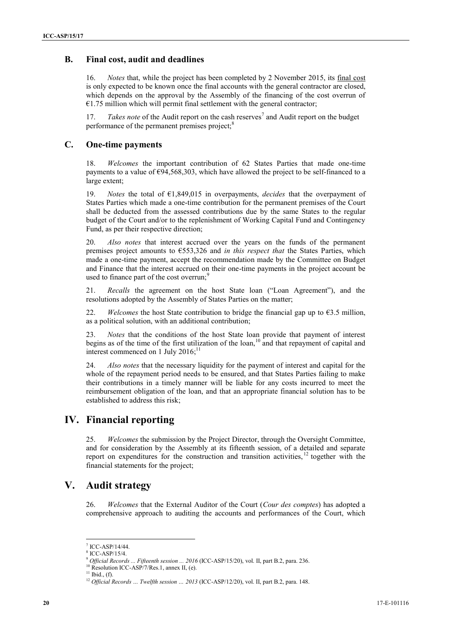## **B. Final cost, audit and deadlines**

16. *Notes* that, while the project has been completed by 2 November 2015, its final cost is only expected to be known once the final accounts with the general contractor are closed, which depends on the approval by the Assembly of the financing of the cost overrun of  $€1.75$  million which will permit final settlement with the general contractor;

17. *Takes note* of the Audit report on the cash reserves<sup>7</sup> and Audit report on the budget performance of the permanent premises project;<sup>8</sup>

## **C. One-time payments**

18. *Welcomes* the important contribution of 62 States Parties that made one-time payments to a value of  $\epsilon$ 94,568,303, which have allowed the project to be self-financed to a large extent;

19. *Notes* the total of €1,849,015 in overpayments, *decides* that the overpayment of States Parties which made a one-time contribution for the permanent premises of the Court shall be deducted from the assessed contributions due by the same States to the regular budget of the Court and/or to the replenishment of Working Capital Fund and Contingency Fund, as per their respective direction;

20. *Also notes* that interest accrued over the years on the funds of the permanent premises project amounts to €553,326 and *in this respect that* the States Parties, which made a one-time payment, accept the recommendation made by the Committee on Budget and Finance that the interest accrued on their one-time payments in the project account be used to finance part of the cost overrun; $9$ 

21. *Recalls* the agreement on the host State loan ("Loan Agreement"), and the resolutions adopted by the Assembly of States Parties on the matter;

22. *Welcomes* the host State contribution to bridge the financial gap up to €3.5 million, as a political solution, with an additional contribution;

*Notes* that the conditions of the host State loan provide that payment of interest begins as of the time of the first utilization of the loan,<sup>10</sup> and that repayment of capital and interest commenced on 1 July 2016;<sup>11</sup>

24. *Also notes* that the necessary liquidity for the payment of interest and capital for the whole of the repayment period needs to be ensured, and that States Parties failing to make their contributions in a timely manner will be liable for any costs incurred to meet the reimbursement obligation of the loan, and that an appropriate financial solution has to be established to address this risk;

## **IV. Financial reporting**

25. *Welcomes* the submission by the Project Director, through the Oversight Committee, and for consideration by the Assembly at its fifteenth session, of a detailed and separate report on expenditures for the construction and transition activities, <sup>12</sup> together with the financial statements for the project;

# **V. Audit strategy**

26. *Welcomes* that the External Auditor of the Court (*Cour des comptes*) has adopted a comprehensive approach to auditing the accounts and performances of the Court, which

<sup>10</sup> Resolution ICC-ASP/7/Res.1, annex II, (e).<br><sup>11</sup> Ibid., (f).

 $^7$  ICC-ASP/14/44.<br> $^8$  ICC-ASP/15/4.

<sup>8</sup> ICC-ASP/15/4. <sup>9</sup> *Official Records ... Fifteenth session ... <sup>2016</sup>* (ICC-ASP/15/20), vol. II, part B.2, para. 236.

<sup>&</sup>lt;sup>12</sup> Official Records … Twelfth session … 2013 (ICC-ASP/12/20), vol. II, part B.2, para. 148.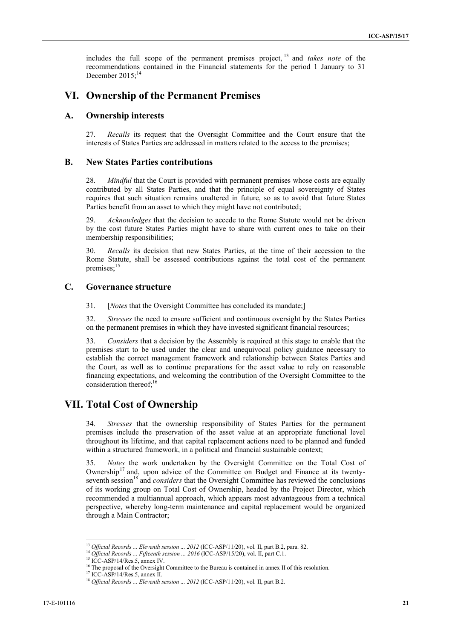includes the full scope of the permanent premises project, <sup>13</sup> and *takes note* of the recommendations contained in the Financial statements for the period 1 January to 31 December  $2015$ ;<sup>14</sup>

# **VI. Ownership of the Permanent Premises**

## **A. Ownership interests**

27. *Recalls* its request that the Oversight Committee and the Court ensure that the interests of States Parties are addressed in matters related to the access to the premises;

## **B. New States Parties contributions**

28. *Mindful* that the Court is provided with permanent premises whose costs are equally contributed by all States Parties, and that the principle of equal sovereignty of States requires that such situation remains unaltered in future, so as to avoid that future States Parties benefit from an asset to which they might have not contributed;

29. *Acknowledges* that the decision to accede to the Rome Statute would not be driven by the cost future States Parties might have to share with current ones to take on their membership responsibilities;

30. *Recalls* its decision that new States Parties, at the time of their accession to the Rome Statute, shall be assessed contributions against the total cost of the permanent premises;<sup>15</sup>

## **C. Governance structure**

31. [*Notes* that the Oversight Committee has concluded its mandate;]

32. *Stresses* the need to ensure sufficient and continuous oversight by the States Parties on the permanent premises in which they have invested significant financial resources;

33. *Considers* that a decision by the Assembly is required at this stage to enable that the premises start to be used under the clear and unequivocal policy guidance necessary to establish the correct management framework and relationship between States Parties and the Court, as well as to continue preparations for the asset value to rely on reasonable financing expectations, and welcoming the contribution of the Oversight Committee to the consideration thereof; $^{16}$ 

# **VII. Total Cost of Ownership**

34. *Stresses* that the ownership responsibility of States Parties for the permanent premises include the preservation of the asset value at an appropriate functional level throughout its lifetime, and that capital replacement actions need to be planned and funded within a structured framework, in a political and financial sustainable context;

35. *Notes* the work undertaken by the Oversight Committee on the Total Cost of Ownership<sup>17</sup> and, upon advice of the Committee on Budget and Finance at its twentyseventh session<sup>18</sup> and *considers* that the Oversight Committee has reviewed the conclusions of its working group on Total Cost of Ownership, headed by the Project Director, which recommended a multiannual approach, which appears most advantageous from a technical perspective, whereby long-term maintenance and capital replacement would be organized through a Main Contractor;

<sup>13</sup> *Official Records ... Eleventh session ... 2012* (ICC-ASP/11/20), vol. II, part B.2, para. 82.

<sup>14</sup> *Official Records ... Fifteenth session ... 2016* (ICC-ASP/15/20), vol. II, part C.1. <sup>15</sup> ICC-ASP/14/Res.5, annex IV.

<sup>&</sup>lt;sup>16</sup> The proposal of the Oversight Committee to the Bureau is contained in annex II of this resolution.<sup>17</sup> ICC-ASP/14/Res.5, annex II.

<sup>&</sup>lt;sup>18</sup> Official Records ... Eleventh session ... 2012 (ICC-ASP/11/20), vol. II, part B.2.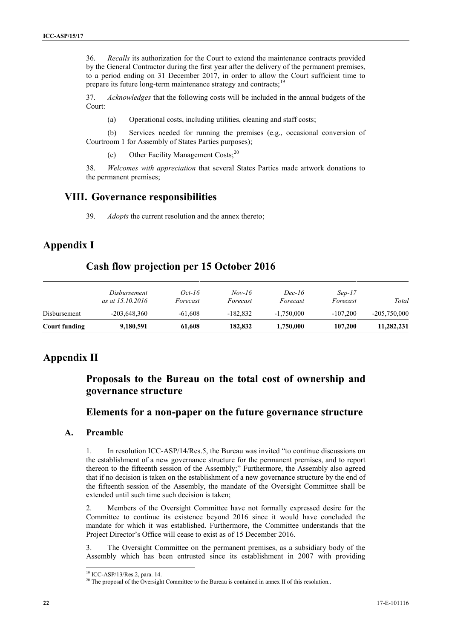36. *Recalls* its authorization for the Court to extend the maintenance contracts provided by the General Contractor during the first year after the delivery of the permanent premises, to a period ending on 31 December 2017, in order to allow the Court sufficient time to prepare its future long-term maintenance strategy and contracts;<sup>19</sup>

37. *Acknowledges* that the following costs will be included in the annual budgets of the Court:

(a) Operational costs, including utilities, cleaning and staff costs;

(b) Services needed for running the premises (e.g., occasional conversion of Courtroom 1 for Assembly of States Parties purposes);

(c) Other Facility Management Costs;<sup>20</sup>

38. *Welcomes with appreciation* that several States Parties made artwork donations to the permanent premises;

## **VIII. Governance responsibilities**

39. *Adopts* the current resolution and the annex thereto;

# **Appendix I**

## **Cash flow projection per 15 October 2016**

|               | <i>Disbursement</i><br>as at 15.10.2016 | Oct-16<br>Forecast | $Nov-16$<br>Forecast | Dec-16<br>Forecast | $Sep-17$<br>Forecast | Total          |
|---------------|-----------------------------------------|--------------------|----------------------|--------------------|----------------------|----------------|
| Disbursement  | $-203,648,360$                          | $-61.608$          | $-182.832$           | $-1.750,000$       | $-107.200$           | $-205,750,000$ |
| Court funding | 9,180,591                               | 61,608             | 182,832              | 1,750,000          | 107,200              | 11,282,231     |

# **Appendix II**

# **Proposals to the Bureau on the total cost of ownership and governance structure**

# **Elements for a non-paper on the future governance structure**

## **A. Preamble**

1. In resolution ICC-ASP/14/Res.5, the Bureau was invited "to continue discussions on the establishment of a new governance structure for the permanent premises, and to report thereon to the fifteenth session of the Assembly;" Furthermore, the Assembly also agreed that if no decision is taken on the establishment of a new governance structure by the end of the fifteenth session of the Assembly, the mandate of the Oversight Committee shall be extended until such time such decision is taken;

2. Members of the Oversight Committee have not formally expressed desire for the Committee to continue its existence beyond 2016 since it would have concluded the mandate for which it was established. Furthermore, the Committee understands that the Project Director's Office will cease to exist as of 15 December 2016.

3. The Oversight Committee on the permanent premises, as a subsidiary body of the Assembly which has been entrusted since its establishment in 2007 with providing

<sup>&</sup>lt;sup>19</sup> ICC-ASP/13/Res.2, para. 14. 20 The proposal of the Oversight Committee to the Bureau is contained in annex II of this resolution..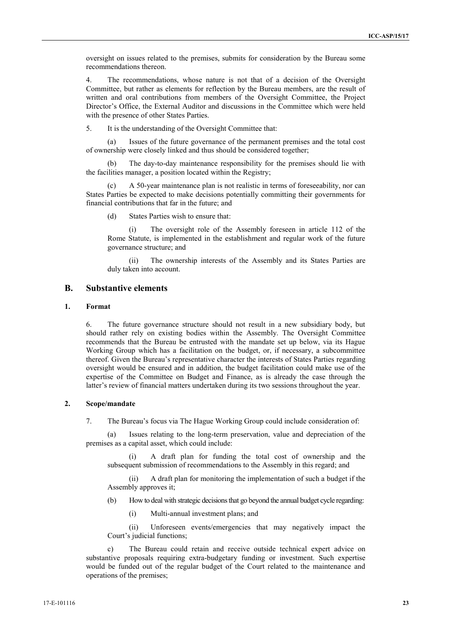oversight on issues related to the premises, submits for consideration by the Bureau some recommendations thereon.

4. The recommendations, whose nature is not that of a decision of the Oversight Committee, but rather as elements for reflection by the Bureau members, are the result of written and oral contributions from members of the Oversight Committee, the Project Director's Office, the External Auditor and discussions in the Committee which were held with the presence of other States Parties.

5. It is the understanding of the Oversight Committee that:

(a) Issues of the future governance of the permanent premises and the total cost of ownership were closely linked and thus should be considered together;

(b) The day-to-day maintenance responsibility for the premises should lie with the facilities manager, a position located within the Registry;

A 50-year maintenance plan is not realistic in terms of foreseeability, nor can States Parties be expected to make decisions potentially committing their governments for financial contributions that far in the future; and

(d) States Parties wish to ensure that:

The oversight role of the Assembly foreseen in article 112 of the Rome Statute, is implemented in the establishment and regular work of the future governance structure; and

(ii) The ownership interests of the Assembly and its States Parties are duly taken into account.

### **B. Substantive elements**

#### **1. Format**

6. The future governance structure should not result in a new subsidiary body, but should rather rely on existing bodies within the Assembly. The Oversight Committee recommends that the Bureau be entrusted with the mandate set up below, via its Hague Working Group which has a facilitation on the budget, or, if necessary, a subcommittee thereof. Given the Bureau's representative character the interests of States Parties regarding oversight would be ensured and in addition, the budget facilitation could make use of the expertise of the Committee on Budget and Finance, as is already the case through the latter's review of financial matters undertaken during its two sessions throughout the year.

#### **2. Scope/mandate**

7. The Bureau's focus via The Hague Working Group could include consideration of:

(a) Issues relating to the long-term preservation, value and depreciation of the premises as a capital asset, which could include:

(i) A draft plan for funding the total cost of ownership and the subsequent submission of recommendations to the Assembly in this regard; and

(ii) A draft plan for monitoring the implementation of such a budget if the Assembly approves it;

(b) How to deal with strategic decisions that go beyond the annual budget cycle regarding:

(i) Multi-annual investment plans; and

(ii) Unforeseen events/emergencies that may negatively impact the Court's judicial functions;

c) The Bureau could retain and receive outside technical expert advice on substantive proposals requiring extra-budgetary funding or investment. Such expertise would be funded out of the regular budget of the Court related to the maintenance and operations of the premises;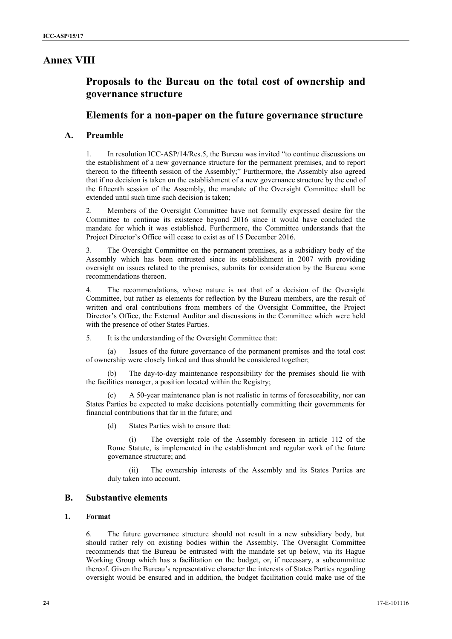# **Annex VIII**

# **Proposals to the Bureau on the total cost of ownership and governance structure**

## **Elements for a non-paper on the future governance structure**

## **A. Preamble**

1. In resolution ICC-ASP/14/Res.5, the Bureau was invited "to continue discussions on the establishment of a new governance structure for the permanent premises, and to report thereon to the fifteenth session of the Assembly;" Furthermore, the Assembly also agreed that if no decision is taken on the establishment of a new governance structure by the end of the fifteenth session of the Assembly, the mandate of the Oversight Committee shall be extended until such time such decision is taken;

2. Members of the Oversight Committee have not formally expressed desire for the Committee to continue its existence beyond 2016 since it would have concluded the mandate for which it was established. Furthermore, the Committee understands that the Project Director's Office will cease to exist as of 15 December 2016.

3. The Oversight Committee on the permanent premises, as a subsidiary body of the Assembly which has been entrusted since its establishment in 2007 with providing oversight on issues related to the premises, submits for consideration by the Bureau some recommendations thereon.

4. The recommendations, whose nature is not that of a decision of the Oversight Committee, but rather as elements for reflection by the Bureau members, are the result of written and oral contributions from members of the Oversight Committee, the Project Director's Office, the External Auditor and discussions in the Committee which were held with the presence of other States Parties.

5. It is the understanding of the Oversight Committee that:

Issues of the future governance of the permanent premises and the total cost of ownership were closely linked and thus should be considered together;

The day-to-day maintenance responsibility for the premises should lie with the facilities manager, a position located within the Registry;

A 50-year maintenance plan is not realistic in terms of foreseeability, nor can States Parties be expected to make decisions potentially committing their governments for financial contributions that far in the future; and

(d) States Parties wish to ensure that:

(i) The oversight role of the Assembly foreseen in article 112 of the Rome Statute, is implemented in the establishment and regular work of the future governance structure; and

(ii) The ownership interests of the Assembly and its States Parties are duly taken into account.

## **B. Substantive elements**

#### **1. Format**

6. The future governance structure should not result in a new subsidiary body, but should rather rely on existing bodies within the Assembly. The Oversight Committee recommends that the Bureau be entrusted with the mandate set up below, via its Hague Working Group which has a facilitation on the budget, or, if necessary, a subcommittee thereof. Given the Bureau's representative character the interests of States Parties regarding oversight would be ensured and in addition, the budget facilitation could make use of the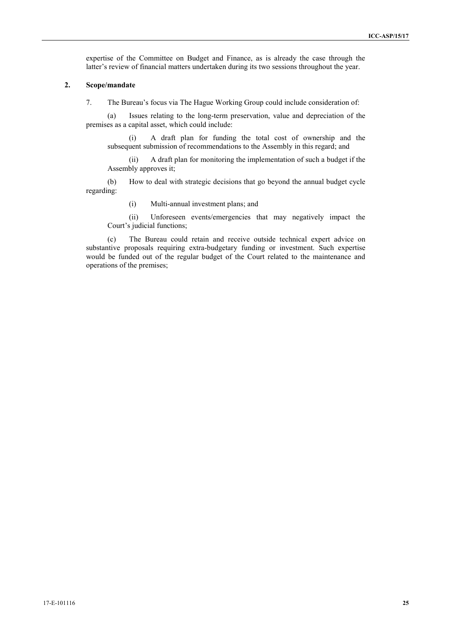expertise of the Committee on Budget and Finance, as is already the case through the latter's review of financial matters undertaken during its two sessions throughout the year.

#### **2. Scope/mandate**

7. The Bureau's focus via The Hague Working Group could include consideration of:

(a) Issues relating to the long-term preservation, value and depreciation of the premises as a capital asset, which could include:

(i) A draft plan for funding the total cost of ownership and the subsequent submission of recommendations to the Assembly in this regard; and

(ii) A draft plan for monitoring the implementation of such a budget if the Assembly approves it;

(b) How to deal with strategic decisions that go beyond the annual budget cycle regarding:

(i) Multi-annual investment plans; and

(ii) Unforeseen events/emergencies that may negatively impact the Court's judicial functions;

(c) The Bureau could retain and receive outside technical expert advice on substantive proposals requiring extra-budgetary funding or investment. Such expertise would be funded out of the regular budget of the Court related to the maintenance and operations of the premises;